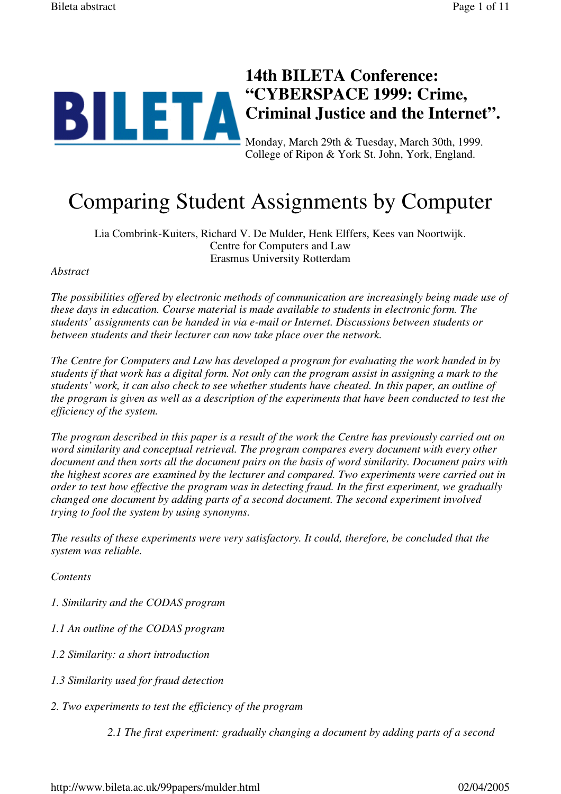

College of Ripon & York St. John, York, England.

# Comparing Student Assignments by Computer

Lia Combrink-Kuiters, Richard V. De Mulder, Henk Elffers, Kees van Noortwijk. Centre for Computers and Law Erasmus University Rotterdam

#### *Abstract*

*The possibilities offered by electronic methods of communication are increasingly being made use of these days in education. Course material is made available to students in electronic form. The students' assignments can be handed in via e-mail or Internet. Discussions between students or between students and their lecturer can now take place over the network.*

*The Centre for Computers and Law has developed a program for evaluating the work handed in by students if that work has a digital form. Not only can the program assist in assigning a mark to the students' work, it can also check to see whether students have cheated. In this paper, an outline of the program is given as well as a description of the experiments that have been conducted to test the efficiency of the system.*

*The program described in this paper is a result of the work the Centre has previously carried out on word similarity and conceptual retrieval. The program compares every document with every other document and then sorts all the document pairs on the basis of word similarity. Document pairs with the highest scores are examined by the lecturer and compared. Two experiments were carried out in order to test how effective the program was in detecting fraud. In the first experiment, we gradually changed one document by adding parts of a second document. The second experiment involved trying to fool the system by using synonyms.*

*The results of these experiments were very satisfactory. It could, therefore, be concluded that the system was reliable.*

*Contents*

*1. Similarity and the CODAS program*

- *1.1 An outline of the CODAS program*
- *1.2 Similarity: a short introduction*
- *1.3 Similarity used for fraud detection*
- *2. Two experiments to test the efficiency of the program*

*2.1 The first experiment: gradually changing a document by adding parts of a second*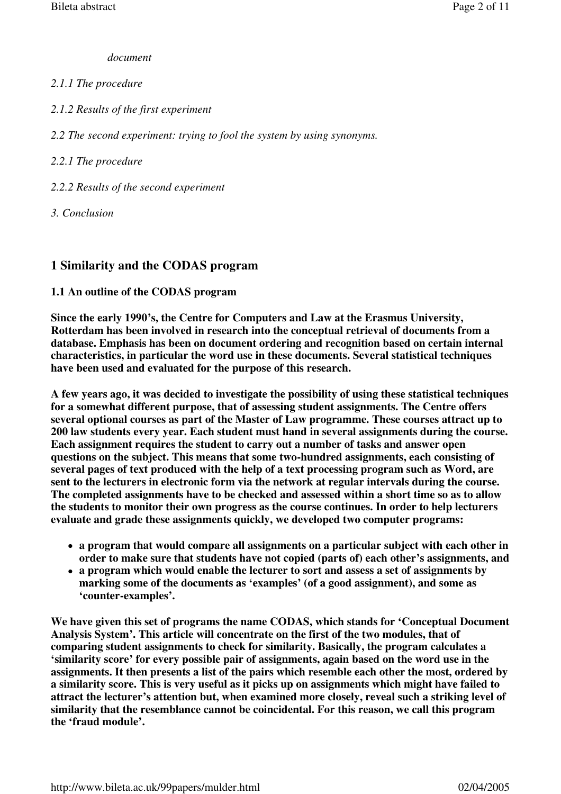# *document*

# *2.1.1 The procedure*

*2.1.2 Results of the first experiment*

*2.2 The second experiment: trying to fool the system by using synonyms.*

# *2.2.1 The procedure*

- *2.2.2 Results of the second experiment*
- *3. Conclusion*

# **1 Similarity and the CODAS program**

# **1.1 An outline of the CODAS program**

**Since the early 1990's, the Centre for Computers and Law at the Erasmus University, Rotterdam has been involved in research into the conceptual retrieval of documents from a database. Emphasis has been on document ordering and recognition based on certain internal characteristics, in particular the word use in these documents. Several statistical techniques have been used and evaluated for the purpose of this research.**

**A few years ago, it was decided to investigate the possibility of using these statistical techniques for a somewhat different purpose, that of assessing student assignments. The Centre offers several optional courses as part of the Master of Law programme. These courses attract up to 200 law students every year. Each student must hand in several assignments during the course. Each assignment requires the student to carry out a number of tasks and answer open questions on the subject. This means that some two-hundred assignments, each consisting of several pages of text produced with the help of a text processing program such as Word, are sent to the lecturers in electronic form via the network at regular intervals during the course. The completed assignments have to be checked and assessed within a short time so as to allow the students to monitor their own progress as the course continues. In order to help lecturers evaluate and grade these assignments quickly, we developed two computer programs:**

- **a program that would compare all assignments on a particular subject with each other in order to make sure that students have not copied (parts of) each other's assignments, and**
- **a program which would enable the lecturer to sort and assess a set of assignments by marking some of the documents as 'examples' (of a good assignment), and some as 'counter-examples'.**

**We have given this set of programs the name CODAS, which stands for 'Conceptual Document Analysis System'. This article will concentrate on the first of the two modules, that of comparing student assignments to check for similarity. Basically, the program calculates a 'similarity score' for every possible pair of assignments, again based on the word use in the assignments. It then presents a list of the pairs which resemble each other the most, ordered by a similarity score. This is very useful as it picks up on assignments which might have failed to attract the lecturer's attention but, when examined more closely, reveal such a striking level of similarity that the resemblance cannot be coincidental. For this reason, we call this program the 'fraud module'.**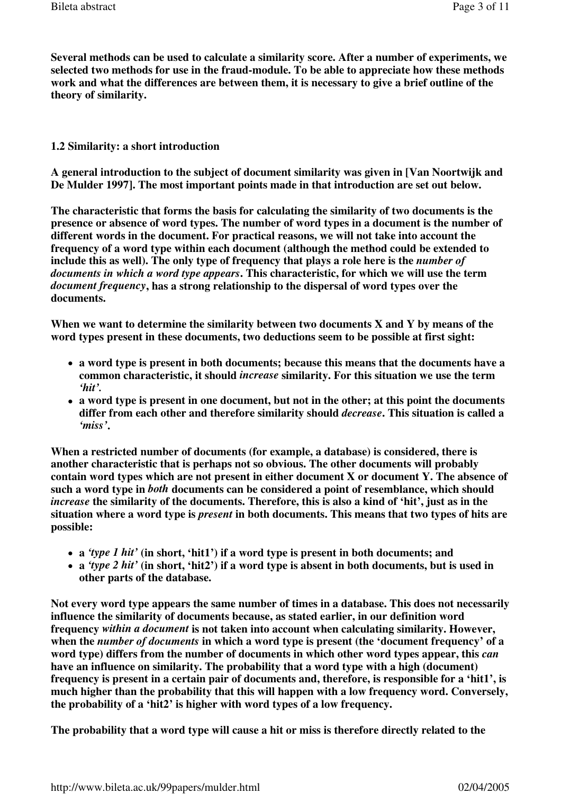**Several methods can be used to calculate a similarity score. After a number of experiments, we selected two methods for use in the fraud-module. To be able to appreciate how these methods work and what the differences are between them, it is necessary to give a brief outline of the theory of similarity.**

#### **1.2 Similarity: a short introduction**

**A general introduction to the subject of document similarity was given in [Van Noortwijk and De Mulder 1997]. The most important points made in that introduction are set out below.**

**The characteristic that forms the basis for calculating the similarity of two documents is the presence or absence of word types. The number of word types in a document is the number of different words in the document. For practical reasons, we will not take into account the frequency of a word type within each document (although the method could be extended to**  include this as well). The only type of frequency that plays a role here is the *number of documents in which a word type appears***. This characteristic, for which we will use the term**  *document frequency***, has a strong relationship to the dispersal of word types over the documents.**

**When we want to determine the similarity between two documents X and Y by means of the word types present in these documents, two deductions seem to be possible at first sight:**

- **a word type is present in both documents; because this means that the documents have a common characteristic, it should** *increase* **similarity. For this situation we use the term**  *'hit'.*
- **a word type is present in one document, but not in the other; at this point the documents differ from each other and therefore similarity should** *decrease***. This situation is called a**  *'miss'***.**

**When a restricted number of documents (for example, a database) is considered, there is another characteristic that is perhaps not so obvious. The other documents will probably contain word types which are not present in either document X or document Y. The absence of such a word type in** *both* **documents can be considered a point of resemblance, which should**  *increase* **the similarity of the documents. Therefore, this is also a kind of 'hit', just as in the situation where a word type is** *present* **in both documents. This means that two types of hits are possible:**

- **a** *'type 1 hit'* **(in short, 'hit1') if a word type is present in both documents; and**
- **a** *'type 2 hit'* **(in short, 'hit2') if a word type is absent in both documents, but is used in other parts of the database.**

**Not every word type appears the same number of times in a database. This does not necessarily influence the similarity of documents because, as stated earlier, in our definition word frequency** *within a document* **is not taken into account when calculating similarity. However, when the** *number of documents* **in which a word type is present (the 'document frequency' of a**  word type) differs from the number of documents in which other word types appear, this *can* **have an influence on similarity. The probability that a word type with a high (document) frequency is present in a certain pair of documents and, therefore, is responsible for a 'hit1', is much higher than the probability that this will happen with a low frequency word. Conversely, the probability of a 'hit2' is higher with word types of a low frequency.**

**The probability that a word type will cause a hit or miss is therefore directly related to the**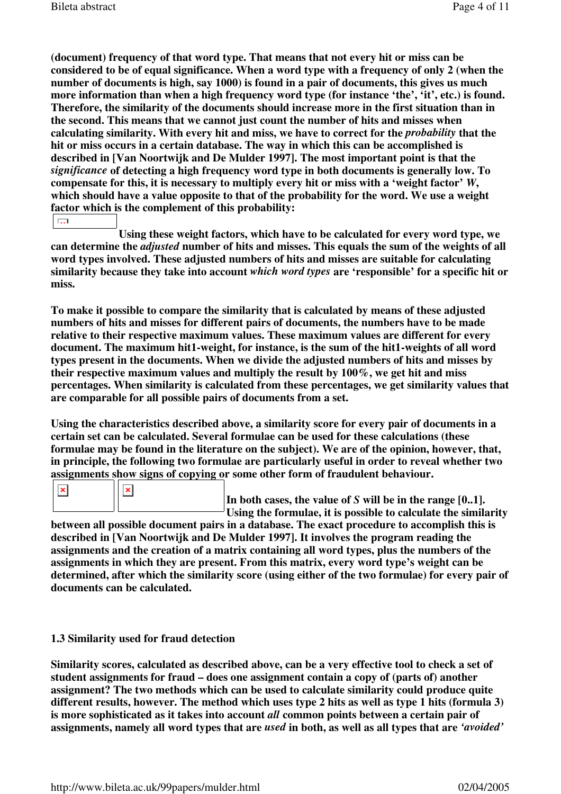**(document) frequency of that word type. That means that not every hit or miss can be considered to be of equal significance. When a word type with a frequency of only 2 (when the number of documents is high, say 1000) is found in a pair of documents, this gives us much more information than when a high frequency word type (for instance 'the', 'it', etc.) is found. Therefore, the similarity of the documents should increase more in the first situation than in the second. This means that we cannot just count the number of hits and misses when calculating similarity. With every hit and miss, we have to correct for the** *probability* **that the hit or miss occurs in a certain database. The way in which this can be accomplished is described in [Van Noortwijk and De Mulder 1997]. The most important point is that the**  *significance* **of detecting a high frequency word type in both documents is generally low. To compensate for this, it is necessary to multiply every hit or miss with a 'weight factor'** *W***, which should have a value opposite to that of the probability for the word. We use a weight factor which is the complement of this probability:**  $\overline{\mathbb{R}^{2}}$ 

**Using these weight factors, which have to be calculated for every word type, we can determine the** *adjusted* **number of hits and misses. This equals the sum of the weights of all word types involved. These adjusted numbers of hits and misses are suitable for calculating similarity because they take into account** *which word types* **are 'responsible' for a specific hit or miss.**

**To make it possible to compare the similarity that is calculated by means of these adjusted numbers of hits and misses for different pairs of documents, the numbers have to be made relative to their respective maximum values. These maximum values are different for every document. The maximum hit1-weight, for instance, is the sum of the hit1-weights of all word types present in the documents. When we divide the adjusted numbers of hits and misses by their respective maximum values and multiply the result by 100%, we get hit and miss percentages. When similarity is calculated from these percentages, we get similarity values that are comparable for all possible pairs of documents from a set.**

**Using the characteristics described above, a similarity score for every pair of documents in a certain set can be calculated. Several formulae can be used for these calculations (these formulae may be found in the literature on the subject). We are of the opinion, however, that, in principle, the following two formulae are particularly useful in order to reveal whether two assignments show signs of copying or some other form of fraudulent behaviour.**

In both cases, the value of *S* will be in the range [0..1]. **Using the formulae, it is possible to calculate the similarity** 

**between all possible document pairs in a database. The exact procedure to accomplish this is described in [Van Noortwijk and De Mulder 1997]. It involves the program reading the assignments and the creation of a matrix containing all word types, plus the numbers of the assignments in which they are present. From this matrix, every word type's weight can be determined, after which the similarity score (using either of the two formulae) for every pair of documents can be calculated.**

## **1.3 Similarity used for fraud detection**

 $\pmb{\times}$ 

**Similarity scores, calculated as described above, can be a very effective tool to check a set of student assignments for fraud – does one assignment contain a copy of (parts of) another assignment? The two methods which can be used to calculate similarity could produce quite different results, however. The method which uses type 2 hits as well as type 1 hits (formula 3) is more sophisticated as it takes into account** *all* **common points between a certain pair of assignments, namely all word types that are** *used* **in both, as well as all types that are** *'avoided'*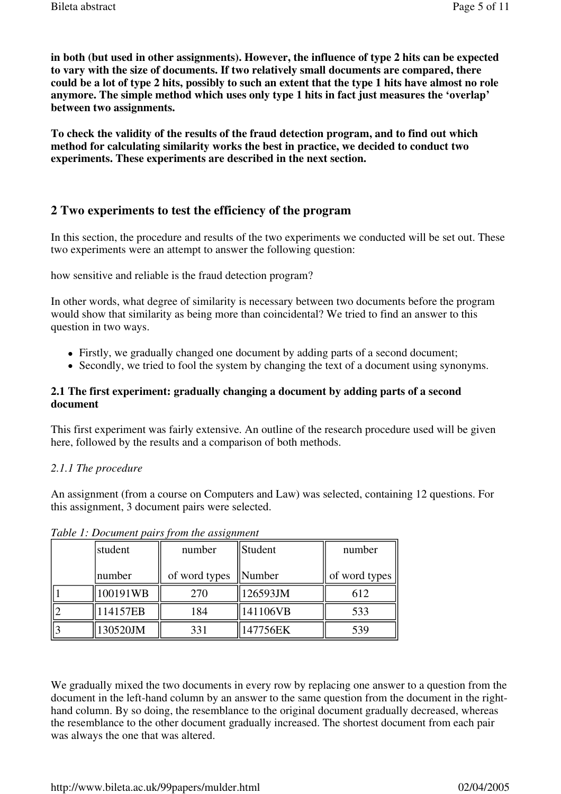**in both (but used in other assignments). However, the influence of type 2 hits can be expected to vary with the size of documents. If two relatively small documents are compared, there could be a lot of type 2 hits, possibly to such an extent that the type 1 hits have almost no role anymore. The simple method which uses only type 1 hits in fact just measures the 'overlap' between two assignments.**

**To check the validity of the results of the fraud detection program, and to find out which method for calculating similarity works the best in practice, we decided to conduct two experiments. These experiments are described in the next section.**

# **2 Two experiments to test the efficiency of the program**

In this section, the procedure and results of the two experiments we conducted will be set out. These two experiments were an attempt to answer the following question:

how sensitive and reliable is the fraud detection program?

In other words, what degree of similarity is necessary between two documents before the program would show that similarity as being more than coincidental? We tried to find an answer to this question in two ways.

- Firstly, we gradually changed one document by adding parts of a second document;
- Secondly, we tried to fool the system by changing the text of a document using synonyms.

## **2.1 The first experiment: gradually changing a document by adding parts of a second document**

This first experiment was fairly extensive. An outline of the research procedure used will be given here, followed by the results and a comparison of both methods.

## *2.1.1 The procedure*

An assignment (from a course on Computers and Law) was selected, containing 12 questions. For this assignment, 3 document pairs were selected.

| student  | Student<br>number |          | number        |  |
|----------|-------------------|----------|---------------|--|
| number   | of word types     | Number   | of word types |  |
| 00191WB  | 270               | 126593JM | 612           |  |
| 14157EB  | 184               | 141106VB | 533           |  |
| 130520JM | 331               | 147756EK | 539           |  |

*Table 1: Document pairs from the assignment*

We gradually mixed the two documents in every row by replacing one answer to a question from the document in the left-hand column by an answer to the same question from the document in the righthand column. By so doing, the resemblance to the original document gradually decreased, whereas the resemblance to the other document gradually increased. The shortest document from each pair was always the one that was altered.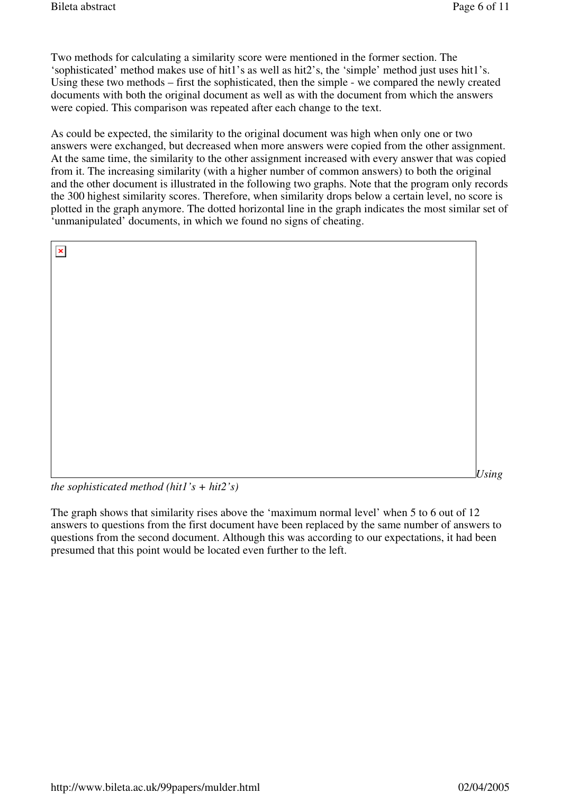Two methods for calculating a similarity score were mentioned in the former section. The 'sophisticated' method makes use of hit1's as well as hit2's, the 'simple' method just uses hit1's. Using these two methods – first the sophisticated, then the simple - we compared the newly created documents with both the original document as well as with the document from which the answers were copied. This comparison was repeated after each change to the text.

As could be expected, the similarity to the original document was high when only one or two answers were exchanged, but decreased when more answers were copied from the other assignment. At the same time, the similarity to the other assignment increased with every answer that was copied from it. The increasing similarity (with a higher number of common answers) to both the original and the other document is illustrated in the following two graphs. Note that the program only records the 300 highest similarity scores. Therefore, when similarity drops below a certain level, no score is plotted in the graph anymore. The dotted horizontal line in the graph indicates the most similar set of 'unmanipulated' documents, in which we found no signs of cheating.

| $\pmb{\times}$                                                                                                                                                                                                                                                                                                                                              |  |       |
|-------------------------------------------------------------------------------------------------------------------------------------------------------------------------------------------------------------------------------------------------------------------------------------------------------------------------------------------------------------|--|-------|
|                                                                                                                                                                                                                                                                                                                                                             |  |       |
|                                                                                                                                                                                                                                                                                                                                                             |  |       |
|                                                                                                                                                                                                                                                                                                                                                             |  |       |
|                                                                                                                                                                                                                                                                                                                                                             |  |       |
|                                                                                                                                                                                                                                                                                                                                                             |  |       |
|                                                                                                                                                                                                                                                                                                                                                             |  |       |
|                                                                                                                                                                                                                                                                                                                                                             |  |       |
|                                                                                                                                                                                                                                                                                                                                                             |  |       |
|                                                                                                                                                                                                                                                                                                                                                             |  |       |
|                                                                                                                                                                                                                                                                                                                                                             |  |       |
|                                                                                                                                                                                                                                                                                                                                                             |  |       |
| $\mathcal{F}$ $\mathcal{F}$ $\mathcal{F}$ $\mathcal{F}$ $\mathcal{F}$ $\mathcal{F}$ $\mathcal{F}$ $\mathcal{F}$ $\mathcal{F}$ $\mathcal{F}$ $\mathcal{F}$ $\mathcal{F}$ $\mathcal{F}$ $\mathcal{F}$ $\mathcal{F}$ $\mathcal{F}$ $\mathcal{F}$ $\mathcal{F}$ $\mathcal{F}$ $\mathcal{F}$ $\mathcal{F}$ $\mathcal{F}$ $\mathcal{F}$ $\mathcal{F}$ $\mathcal{$ |  | Using |

*the sophisticated method (hit1's + hit2's)*

The graph shows that similarity rises above the 'maximum normal level' when 5 to 6 out of 12 answers to questions from the first document have been replaced by the same number of answers to questions from the second document. Although this was according to our expectations, it had been presumed that this point would be located even further to the left.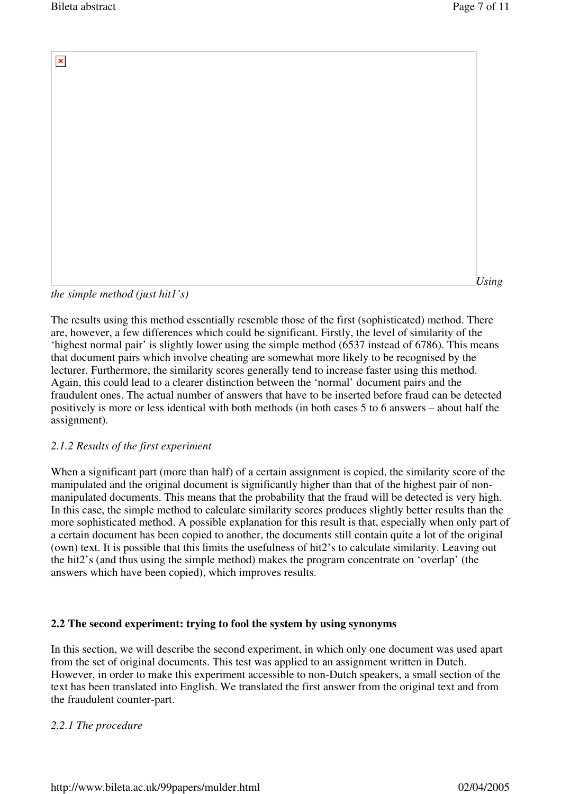Bileta abstract Page 7 of 11

 $\pmb{\times}$ *Using* 

*the simple method (just hit1's)*

The results using this method essentially resemble those of the first (sophisticated) method. There are, however, a few differences which could be significant. Firstly, the level of similarity of the 'highest normal pair' is slightly lower using the simple method (6537 instead of 6786). This means that document pairs which involve cheating are somewhat more likely to be recognised by the lecturer. Furthermore, the similarity scores generally tend to increase faster using this method. Again, this could lead to a clearer distinction between the 'normal' document pairs and the fraudulent ones. The actual number of answers that have to be inserted before fraud can be detected positively is more or less identical with both methods (in both cases 5 to 6 answers – about half the assignment).

# *2.1.2 Results of the first experiment*

When a significant part (more than half) of a certain assignment is copied, the similarity score of the manipulated and the original document is significantly higher than that of the highest pair of nonmanipulated documents. This means that the probability that the fraud will be detected is very high. In this case, the simple method to calculate similarity scores produces slightly better results than the more sophisticated method. A possible explanation for this result is that, especially when only part of a certain document has been copied to another, the documents still contain quite a lot of the original (own) text. It is possible that this limits the usefulness of hit2's to calculate similarity. Leaving out the hit2's (and thus using the simple method) makes the program concentrate on 'overlap' (the answers which have been copied), which improves results.

# **2.2 The second experiment: trying to fool the system by using synonyms**

In this section, we will describe the second experiment, in which only one document was used apart from the set of original documents. This test was applied to an assignment written in Dutch. However, in order to make this experiment accessible to non-Dutch speakers, a small section of the text has been translated into English. We translated the first answer from the original text and from the fraudulent counter-part.

# *2.2.1 The procedure*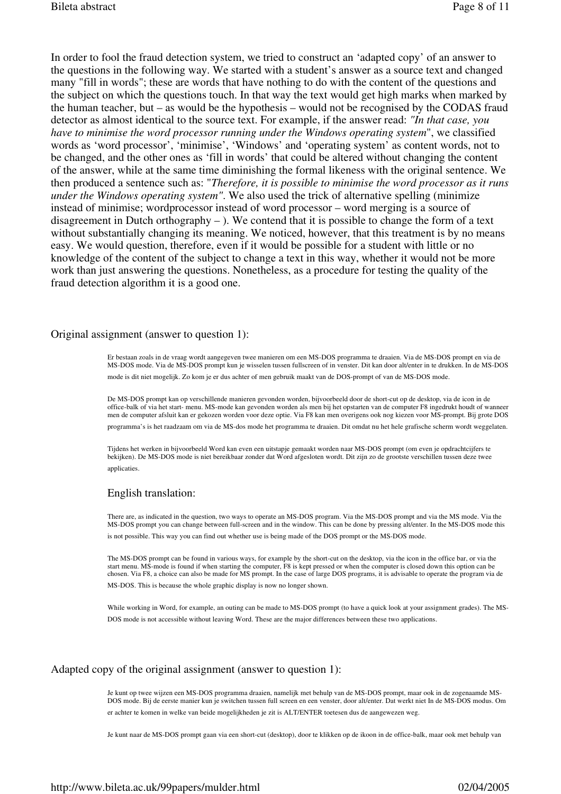In order to fool the fraud detection system, we tried to construct an 'adapted copy' of an answer to the questions in the following way. We started with a student's answer as a source text and changed many "fill in words"; these are words that have nothing to do with the content of the questions and the subject on which the questions touch. In that way the text would get high marks when marked by the human teacher, but – as would be the hypothesis – would not be recognised by the CODAS fraud detector as almost identical to the source text. For example, if the answer read: *"In that case, you have to minimise the word processor running under the Windows operating system*", we classified words as 'word processor', 'minimise', 'Windows' and 'operating system' as content words, not to be changed, and the other ones as 'fill in words' that could be altered without changing the content of the answer, while at the same time diminishing the formal likeness with the original sentence. We then produced a sentence such as: "*Therefore, it is possible to minimise the word processor as it runs under the Windows operating system"*. We also used the trick of alternative spelling (minimize instead of minimise; wordprocessor instead of word processor – word merging is a source of disagreement in Dutch orthography  $-$  ). We contend that it is possible to change the form of a text without substantially changing its meaning. We noticed, however, that this treatment is by no means easy. We would question, therefore, even if it would be possible for a student with little or no knowledge of the content of the subject to change a text in this way, whether it would not be more work than just answering the questions. Nonetheless, as a procedure for testing the quality of the fraud detection algorithm it is a good one.

#### Original assignment (answer to question 1):

Er bestaan zoals in de vraag wordt aangegeven twee manieren om een MS-DOS programma te draaien. Via de MS-DOS prompt en via de MS-DOS mode. Via de MS-DOS prompt kun je wisselen tussen fullscreen of in venster. Dit kan door alt/enter in te drukken. In de MS-DOS mode is dit niet mogelijk. Zo kom je er dus achter of men gebruik maakt van de DOS-prompt of van de MS-DOS mode.

De MS-DOS prompt kan op verschillende manieren gevonden worden, bijvoorbeeld door de short-cut op de desktop, via de icon in de office-balk of via het start- menu. MS-mode kan gevonden worden als men bij het opstarten van de computer F8 ingedrukt houdt of wanneer men de computer afsluit kan er gekozen worden voor deze optie. Via F8 kan men overigens ook nog kiezen voor MS-prompt. Bij grote DOS

programma's is het raadzaam om via de MS-dos mode het programma te draaien. Dit omdat nu het hele grafische scherm wordt weggelaten.

Tijdens het werken in bijvoorbeeld Word kan even een uitstapje gemaakt worden naar MS-DOS prompt (om even je opdrachtcijfers te bekijken). De MS-DOS mode is niet bereikbaar zonder dat Word afgesloten wordt. Dit zijn zo de grootste verschillen tussen deze twee applicaties.

#### English translation:

There are, as indicated in the question, two ways to operate an MS-DOS program. Via the MS-DOS prompt and via the MS mode. Via the MS-DOS prompt you can change between full-screen and in the window. This can be done by pressing alt/enter. In the MS-DOS mode this is not possible. This way you can find out whether use is being made of the DOS prompt or the MS-DOS mode.

The MS-DOS prompt can be found in various ways, for example by the short-cut on the desktop, via the icon in the office bar, or via the start menu. MS-mode is found if when starting the computer, F8 is kept pressed or when the computer is closed down this option can be chosen. Via F8, a choice can also be made for MS prompt. In the case of large DOS programs, it is advisable to operate the program via de

MS-DOS. This is because the whole graphic display is now no longer shown.

While working in Word, for example, an outing can be made to MS-DOS prompt (to have a quick look at your assignment grades). The MS-DOS mode is not accessible without leaving Word. These are the major differences between these two applications.

#### Adapted copy of the original assignment (answer to question 1):

Je kunt op twee wijzen een MS-DOS programma draaien, namelijk met behulp van de MS-DOS prompt, maar ook in de zogenaamde MS-DOS mode. Bij de eerste manier kun je switchen tussen full screen en een venster, door alt/enter. Dat werkt niet In de MS-DOS modus. Om er achter te komen in welke van beide mogelijkheden je zit is ALT/ENTER toetesen dus de aangewezen weg.

Je kunt naar de MS-DOS prompt gaan via een short-cut (desktop), door te klikken op de ikoon in de office-balk, maar ook met behulp van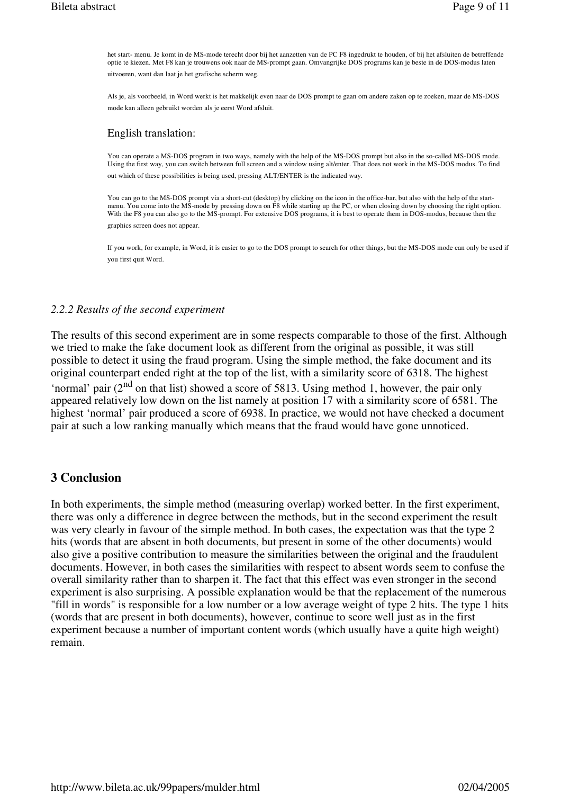het start- menu. Je komt in de MS-mode terecht door bij het aanzetten van de PC F8 ingedrukt te houden, of bij het afsluiten de betreffende optie te kiezen. Met F8 kan je trouwens ook naar de MS-prompt gaan. Omvangrijke DOS programs kan je beste in de DOS-modus laten uitvoeren, want dan laat je het grafische scherm weg.

Als je, als voorbeeld, in Word werkt is het makkelijk even naar de DOS prompt te gaan om andere zaken op te zoeken, maar de MS-DOS mode kan alleen gebruikt worden als je eerst Word afsluit.

#### English translation:

You can operate a MS-DOS program in two ways, namely with the help of the MS-DOS prompt but also in the so-called MS-DOS mode. Using the first way, you can switch between full screen and a window using alt/enter. That does not work in the MS-DOS modus. To find out which of these possibilities is being used, pressing ALT/ENTER is the indicated way.

You can go to the MS-DOS prompt via a short-cut (desktop) by clicking on the icon in the office-bar, but also with the help of the startmenu. You come into the MS-mode by pressing down on F8 while starting up the PC, or when closing down by choosing the right option. With the F8 you can also go to the MS-prompt. For extensive DOS programs, it is best to operate them in DOS-modus, because then the graphics screen does not appear.

If you work, for example, in Word, it is easier to go to the DOS prompt to search for other things, but the MS-DOS mode can only be used if you first quit Word.

#### *2.2.2 Results of the second experiment*

The results of this second experiment are in some respects comparable to those of the first. Although we tried to make the fake document look as different from the original as possible, it was still possible to detect it using the fraud program. Using the simple method, the fake document and its original counterpart ended right at the top of the list, with a similarity score of 6318. The highest 'normal' pair  $(2<sup>nd</sup>$  on that list) showed a score of 5813. Using method 1, however, the pair only appeared relatively low down on the list namely at position 17 with a similarity score of 6581. The highest 'normal' pair produced a score of 6938. In practice, we would not have checked a document pair at such a low ranking manually which means that the fraud would have gone unnoticed.

## **3 Conclusion**

In both experiments, the simple method (measuring overlap) worked better. In the first experiment, there was only a difference in degree between the methods, but in the second experiment the result was very clearly in favour of the simple method. In both cases, the expectation was that the type 2 hits (words that are absent in both documents, but present in some of the other documents) would also give a positive contribution to measure the similarities between the original and the fraudulent documents. However, in both cases the similarities with respect to absent words seem to confuse the overall similarity rather than to sharpen it. The fact that this effect was even stronger in the second experiment is also surprising. A possible explanation would be that the replacement of the numerous "fill in words" is responsible for a low number or a low average weight of type 2 hits. The type 1 hits (words that are present in both documents), however, continue to score well just as in the first experiment because a number of important content words (which usually have a quite high weight) remain.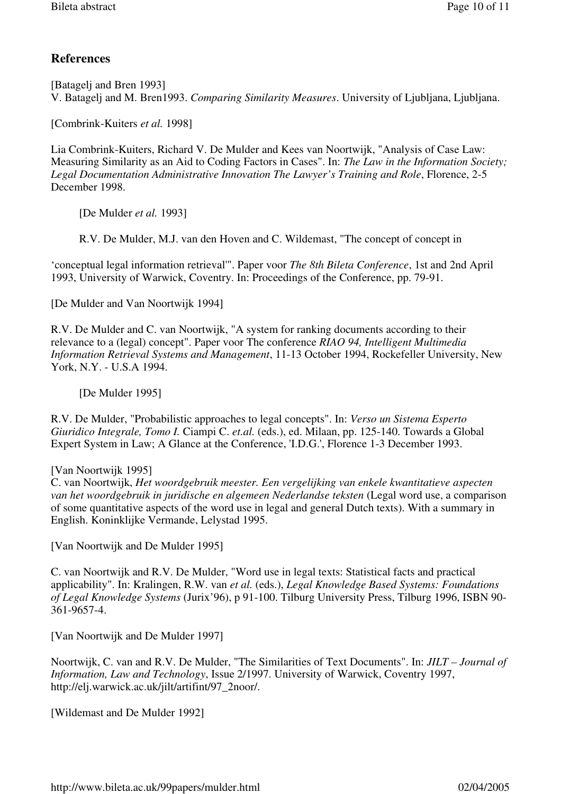# **References**

[Batagelj and Bren 1993] V. Batagelj and M. Bren1993. *Comparing Similarity Measures*. University of Ljubljana, Ljubljana.

[Combrink-Kuiters *et al.* 1998]

Lia Combrink-Kuiters, Richard V. De Mulder and Kees van Noortwijk, "Analysis of Case Law: Measuring Similarity as an Aid to Coding Factors in Cases". In: *The Law in the Information Society; Legal Documentation Administrative Innovation The Lawyer's Training and Role*, Florence, 2-5 December 1998.

[De Mulder *et al.* 1993]

R.V. De Mulder, M.J. van den Hoven and C. Wildemast, "The concept of concept in

'conceptual legal information retrieval'". Paper voor *The 8th Bileta Conference*, 1st and 2nd April 1993, University of Warwick, Coventry. In: Proceedings of the Conference, pp. 79-91.

[De Mulder and Van Noortwijk 1994]

R.V. De Mulder and C. van Noortwijk, "A system for ranking documents according to their relevance to a (legal) concept". Paper voor The conference *RIAO 94, Intelligent Multimedia Information Retrieval Systems and Management*, 11-13 October 1994, Rockefeller University, New York, N.Y. - U.S.A 1994.

[De Mulder 1995]

R.V. De Mulder, "Probabilistic approaches to legal concepts". In: *Verso un Sistema Esperto Giuridico Integrale, Tomo I.* Ciampi C. *et.al.* (eds.), ed. Milaan, pp. 125-140. Towards a Global Expert System in Law; A Glance at the Conference, 'I.D.G.', Florence 1-3 December 1993.

## [Van Noortwijk 1995]

C. van Noortwijk, *Het woordgebruik meester. Een vergelijking van enkele kwantitatieve aspecten van het woordgebruik in juridische en algemeen Nederlandse teksten* (Legal word use, a comparison of some quantitative aspects of the word use in legal and general Dutch texts). With a summary in English. Koninklijke Vermande, Lelystad 1995.

[Van Noortwijk and De Mulder 1995]

C. van Noortwijk and R.V. De Mulder, "Word use in legal texts: Statistical facts and practical applicability". In: Kralingen, R.W. van *et al.* (eds.), *Legal Knowledge Based Systems: Foundations of Legal Knowledge Systems* (Jurix'96), p 91-100. Tilburg University Press, Tilburg 1996, ISBN 90- 361-9657-4.

[Van Noortwijk and De Mulder 1997]

Noortwijk, C. van and R.V. De Mulder, "The Similarities of Text Documents". In: *JILT – Journal of Information, Law and Technology*, Issue 2/1997. University of Warwick, Coventry 1997, http://elj.warwick.ac.uk/jilt/artifint/97\_2noor/.

[Wildemast and De Mulder 1992]